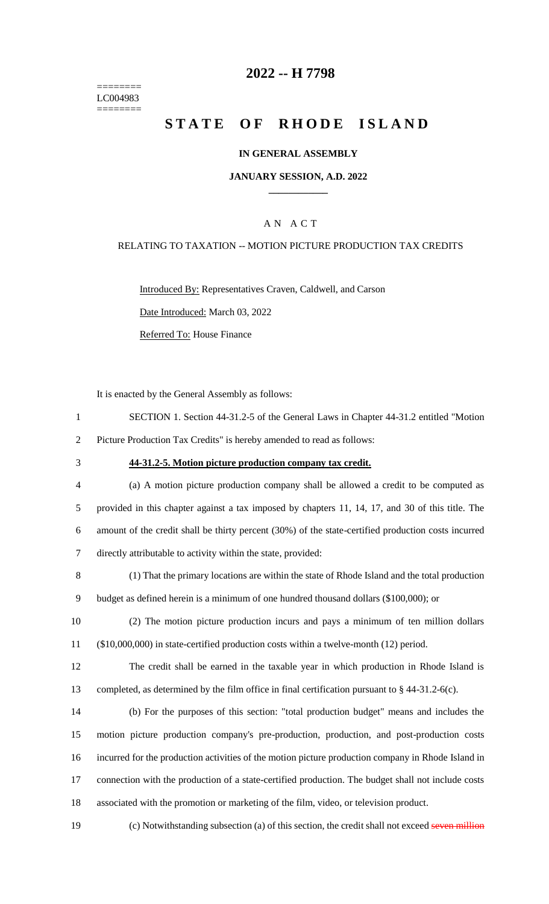======== LC004983 ========

### **2022 -- H 7798**

# **STATE OF RHODE ISLAND**

#### **IN GENERAL ASSEMBLY**

#### **JANUARY SESSION, A.D. 2022 \_\_\_\_\_\_\_\_\_\_\_\_**

### A N A C T

#### RELATING TO TAXATION -- MOTION PICTURE PRODUCTION TAX CREDITS

Introduced By: Representatives Craven, Caldwell, and Carson Date Introduced: March 03, 2022

Referred To: House Finance

It is enacted by the General Assembly as follows:

|   | SECTION 1. Section 44-31.2-5 of the General Laws in Chapter 44-31.2 entitled "Motion" |
|---|---------------------------------------------------------------------------------------|
| 2 | Picture Production Tax Credits" is hereby amended to read as follows:                 |

### 3 **44-31.2-5. Motion picture production company tax credit.**

 (a) A motion picture production company shall be allowed a credit to be computed as provided in this chapter against a tax imposed by chapters 11, 14, 17, and 30 of this title. The amount of the credit shall be thirty percent (30%) of the state-certified production costs incurred directly attributable to activity within the state, provided:

8 (1) That the primary locations are within the state of Rhode Island and the total production 9 budget as defined herein is a minimum of one hundred thousand dollars (\$100,000); or

10 (2) The motion picture production incurs and pays a minimum of ten million dollars 11 (\$10,000,000) in state-certified production costs within a twelve-month (12) period.

12 The credit shall be earned in the taxable year in which production in Rhode Island is 13 completed, as determined by the film office in final certification pursuant to § 44-31.2-6(c).

 (b) For the purposes of this section: "total production budget" means and includes the motion picture production company's pre-production, production, and post-production costs incurred for the production activities of the motion picture production company in Rhode Island in connection with the production of a state-certified production. The budget shall not include costs associated with the promotion or marketing of the film, video, or television product.

19 (c) Notwithstanding subsection (a) of this section, the credit shall not exceed seven million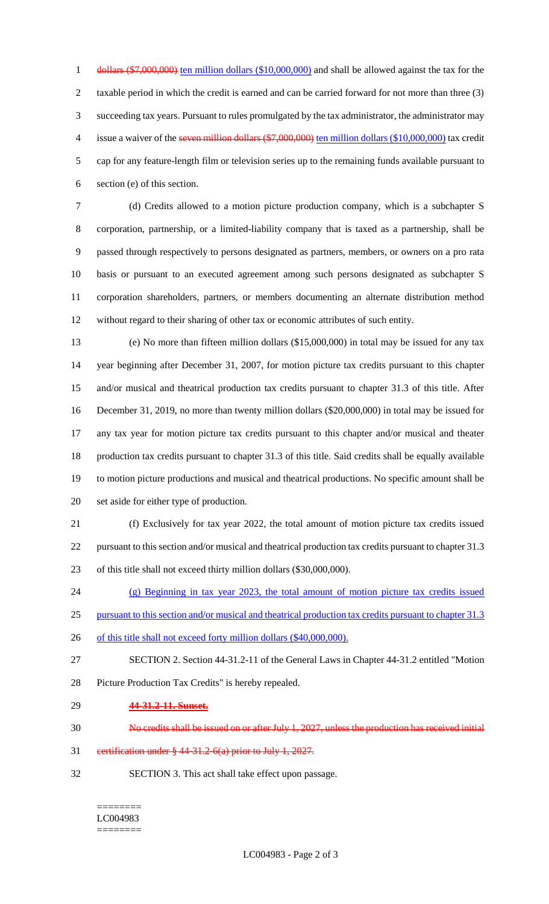1 dollars (\$7,000,000) ten million dollars (\$10,000,000) and shall be allowed against the tax for the taxable period in which the credit is earned and can be carried forward for not more than three (3) succeeding tax years. Pursuant to rules promulgated by the tax administrator, the administrator may 4 issue a waiver of the seven million dollars (\$7,000,000) ten million dollars (\$10,000,000) tax credit cap for any feature-length film or television series up to the remaining funds available pursuant to section (e) of this section.

 (d) Credits allowed to a motion picture production company, which is a subchapter S corporation, partnership, or a limited-liability company that is taxed as a partnership, shall be passed through respectively to persons designated as partners, members, or owners on a pro rata basis or pursuant to an executed agreement among such persons designated as subchapter S corporation shareholders, partners, or members documenting an alternate distribution method without regard to their sharing of other tax or economic attributes of such entity.

 (e) No more than fifteen million dollars (\$15,000,000) in total may be issued for any tax year beginning after December 31, 2007, for motion picture tax credits pursuant to this chapter and/or musical and theatrical production tax credits pursuant to chapter 31.3 of this title. After December 31, 2019, no more than twenty million dollars (\$20,000,000) in total may be issued for any tax year for motion picture tax credits pursuant to this chapter and/or musical and theater production tax credits pursuant to chapter 31.3 of this title. Said credits shall be equally available to motion picture productions and musical and theatrical productions. No specific amount shall be set aside for either type of production.

 (f) Exclusively for tax year 2022, the total amount of motion picture tax credits issued pursuant to this section and/or musical and theatrical production tax credits pursuant to chapter 31.3 of this title shall not exceed thirty million dollars (\$30,000,000).

 (g) Beginning in tax year 2023, the total amount of motion picture tax credits issued 25 pursuant to this section and/or musical and theatrical production tax credits pursuant to chapter 31.3

26 of this title shall not exceed forty million dollars (\$40,000,000).

SECTION 2. Section 44-31.2-11 of the General Laws in Chapter 44-31.2 entitled "Motion

Picture Production Tax Credits" is hereby repealed.

**44-31.2-11. Sunset.**

No credits shall be issued on or after July 1, 2027, unless the production has received initial

certification under § 44-31.2-6(a) prior to July 1, 2027.

SECTION 3. This act shall take effect upon passage.

#### ======== LC004983 ========